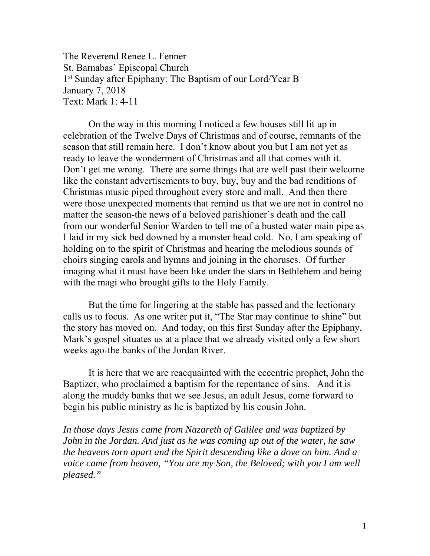The Reverend Renee L. Fenner St. Barnabas' Episcopal Church 1<sup>st</sup> Sunday after Epiphany: The Baptism of our Lord/Year B January 7, 2018 Text: Mark 1: 4-11

 On the way in this morning I noticed a few houses still lit up in celebration of the Twelve Days of Christmas and of course, remnants of the season that still remain here. I don't know about you but I am not yet as ready to leave the wonderment of Christmas and all that comes with it. Don't get me wrong. There are some things that are well past their welcome like the constant advertisements to buy, buy, buy and the bad renditions of Christmas music piped throughout every store and mall. And then there were those unexpected moments that remind us that we are not in control no matter the season-the news of a beloved parishioner's death and the call from our wonderful Senior Warden to tell me of a busted water main pipe as I laid in my sick bed downed by a monster head cold. No, I am speaking of holding on to the spirit of Christmas and hearing the melodious sounds of choirs singing carols and hymns and joining in the choruses. Of further imaging what it must have been like under the stars in Bethlehem and being with the magi who brought gifts to the Holy Family.

 But the time for lingering at the stable has passed and the lectionary calls us to focus. As one writer put it, "The Star may continue to shine" but the story has moved on. And today, on this first Sunday after the Epiphany, Mark's gospel situates us at a place that we already visited only a few short weeks ago-the banks of the Jordan River.

 It is here that we are reacquainted with the eccentric prophet, John the Baptizer, who proclaimed a baptism for the repentance of sins. And it is along the muddy banks that we see Jesus, an adult Jesus, come forward to begin his public ministry as he is baptized by his cousin John.

*In those days Jesus came from Nazareth of Galilee and was baptized by John in the Jordan. And just as he was coming up out of the water, he saw the heavens torn apart and the Spirit descending like a dove on him. And a voice came from heaven, "You are my Son, the Beloved; with you I am well pleased."*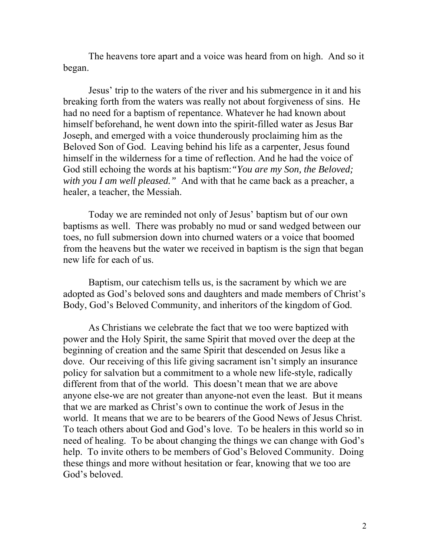The heavens tore apart and a voice was heard from on high. And so it began.

Jesus' trip to the waters of the river and his submergence in it and his breaking forth from the waters was really not about forgiveness of sins. He had no need for a baptism of repentance. Whatever he had known about himself beforehand, he went down into the spirit-filled water as Jesus Bar Joseph, and emerged with a voice thunderously proclaiming him as the Beloved Son of God. Leaving behind his life as a carpenter, Jesus found himself in the wilderness for a time of reflection. And he had the voice of God still echoing the words at his baptism:*"You are my Son, the Beloved; with you I am well pleased."* And with that he came back as a preacher, a healer, a teacher, the Messiah.

 Today we are reminded not only of Jesus' baptism but of our own baptisms as well. There was probably no mud or sand wedged between our toes, no full submersion down into churned waters or a voice that boomed from the heavens but the water we received in baptism is the sign that began new life for each of us.

 Baptism, our catechism tells us, is the sacrament by which we are adopted as God's beloved sons and daughters and made members of Christ's Body, God's Beloved Community, and inheritors of the kingdom of God.

As Christians we celebrate the fact that we too were baptized with power and the Holy Spirit, the same Spirit that moved over the deep at the beginning of creation and the same Spirit that descended on Jesus like a dove. Our receiving of this life giving sacrament isn't simply an insurance policy for salvation but a commitment to a whole new life-style, radically different from that of the world. This doesn't mean that we are above anyone else-we are not greater than anyone-not even the least. But it means that we are marked as Christ's own to continue the work of Jesus in the world. It means that we are to be bearers of the Good News of Jesus Christ. To teach others about God and God's love. To be healers in this world so in need of healing. To be about changing the things we can change with God's help. To invite others to be members of God's Beloved Community. Doing these things and more without hesitation or fear, knowing that we too are God's beloved.